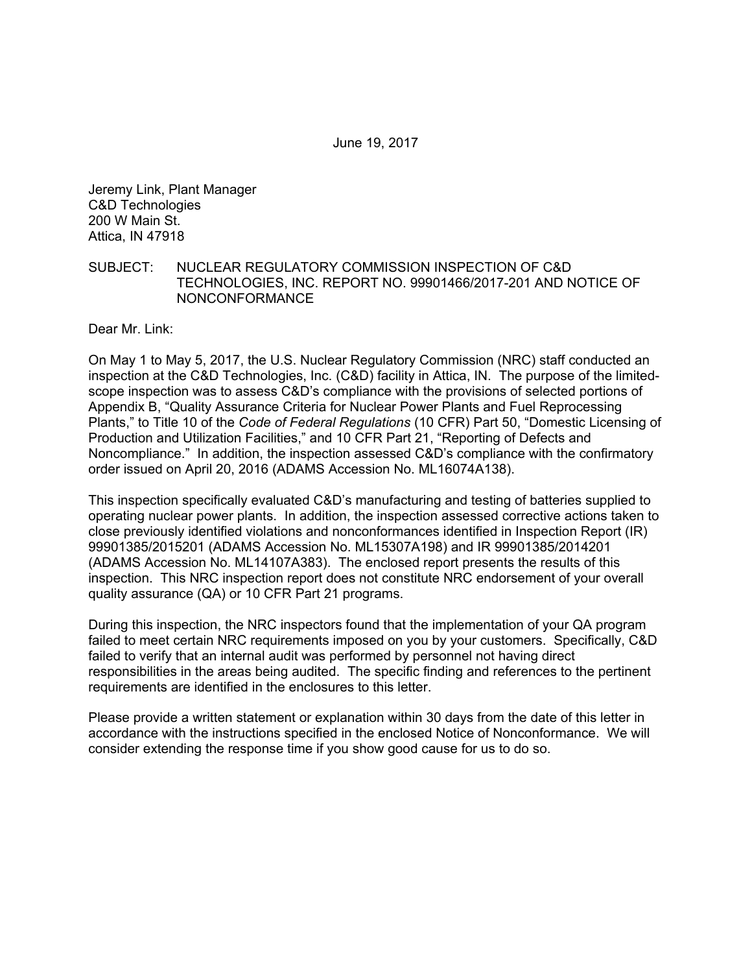Jeremy Link, Plant Manager C&D Technologies 200 W Main St. Attica, IN 47918

#### SUBJECT: NUCLEAR REGULATORY COMMISSION INSPECTION OF C&D TECHNOLOGIES, INC. REPORT NO. 99901466/2017-201 AND NOTICE OF NONCONFORMANCE

Dear Mr. Link:

On May 1 to May 5, 2017, the U.S. Nuclear Regulatory Commission (NRC) staff conducted an inspection at the C&D Technologies, Inc. (C&D) facility in Attica, IN. The purpose of the limitedscope inspection was to assess C&D's compliance with the provisions of selected portions of Appendix B, "Quality Assurance Criteria for Nuclear Power Plants and Fuel Reprocessing Plants," to Title 10 of the *Code of Federal Regulations* (10 CFR) Part 50, "Domestic Licensing of Production and Utilization Facilities," and 10 CFR Part 21, "Reporting of Defects and Noncompliance." In addition, the inspection assessed C&D's compliance with the confirmatory order issued on April 20, 2016 (ADAMS Accession No. ML16074A138).

This inspection specifically evaluated C&D's manufacturing and testing of batteries supplied to operating nuclear power plants. In addition, the inspection assessed corrective actions taken to close previously identified violations and nonconformances identified in Inspection Report (IR) 99901385/2015201 (ADAMS Accession No. ML15307A198) and IR 99901385/2014201 (ADAMS Accession No. ML14107A383). The enclosed report presents the results of this inspection. This NRC inspection report does not constitute NRC endorsement of your overall quality assurance (QA) or 10 CFR Part 21 programs.

During this inspection, the NRC inspectors found that the implementation of your QA program failed to meet certain NRC requirements imposed on you by your customers. Specifically, C&D failed to verify that an internal audit was performed by personnel not having direct responsibilities in the areas being audited. The specific finding and references to the pertinent requirements are identified in the enclosures to this letter.

Please provide a written statement or explanation within 30 days from the date of this letter in accordance with the instructions specified in the enclosed Notice of Nonconformance. We will consider extending the response time if you show good cause for us to do so.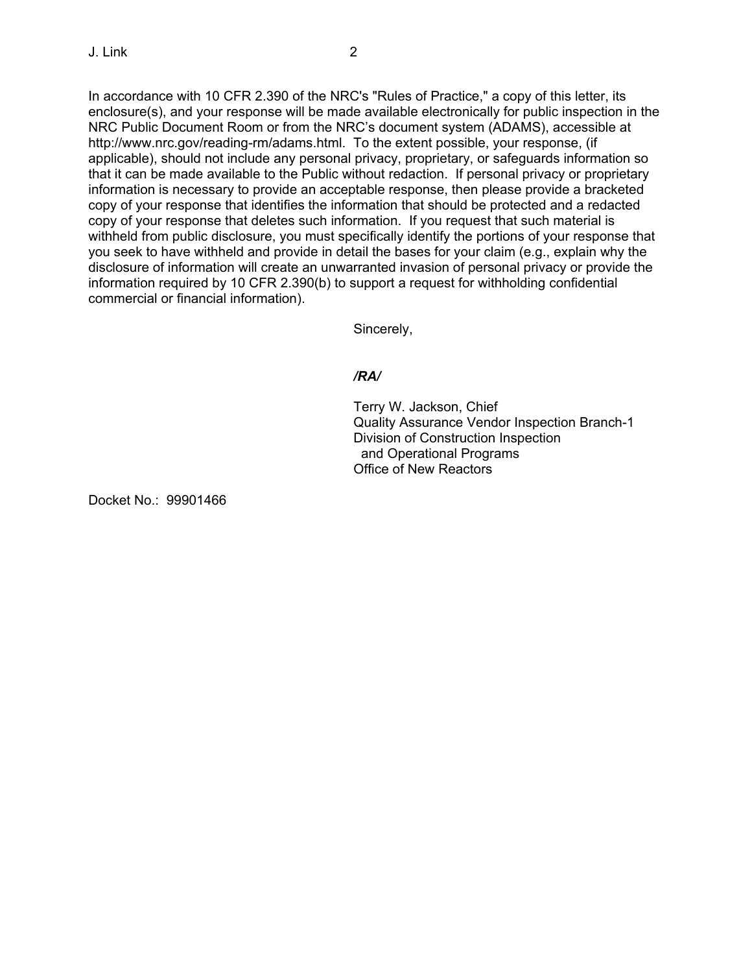In accordance with 10 CFR 2.390 of the NRC's "Rules of Practice," a copy of this letter, its enclosure(s), and your response will be made available electronically for public inspection in the NRC Public Document Room or from the NRC's document system (ADAMS), accessible at http://www.nrc.gov/reading-rm/adams.html. To the extent possible, your response, (if applicable), should not include any personal privacy, proprietary, or safeguards information so that it can be made available to the Public without redaction. If personal privacy or proprietary information is necessary to provide an acceptable response, then please provide a bracketed copy of your response that identifies the information that should be protected and a redacted copy of your response that deletes such information. If you request that such material is withheld from public disclosure, you must specifically identify the portions of your response that you seek to have withheld and provide in detail the bases for your claim (e.g., explain why the disclosure of information will create an unwarranted invasion of personal privacy or provide the information required by 10 CFR 2.390(b) to support a request for withholding confidential commercial or financial information).

Sincerely,

## */RA/*

Terry W. Jackson, Chief Quality Assurance Vendor Inspection Branch-1 Division of Construction Inspection and Operational Programs Office of New Reactors

Docket No.: 99901466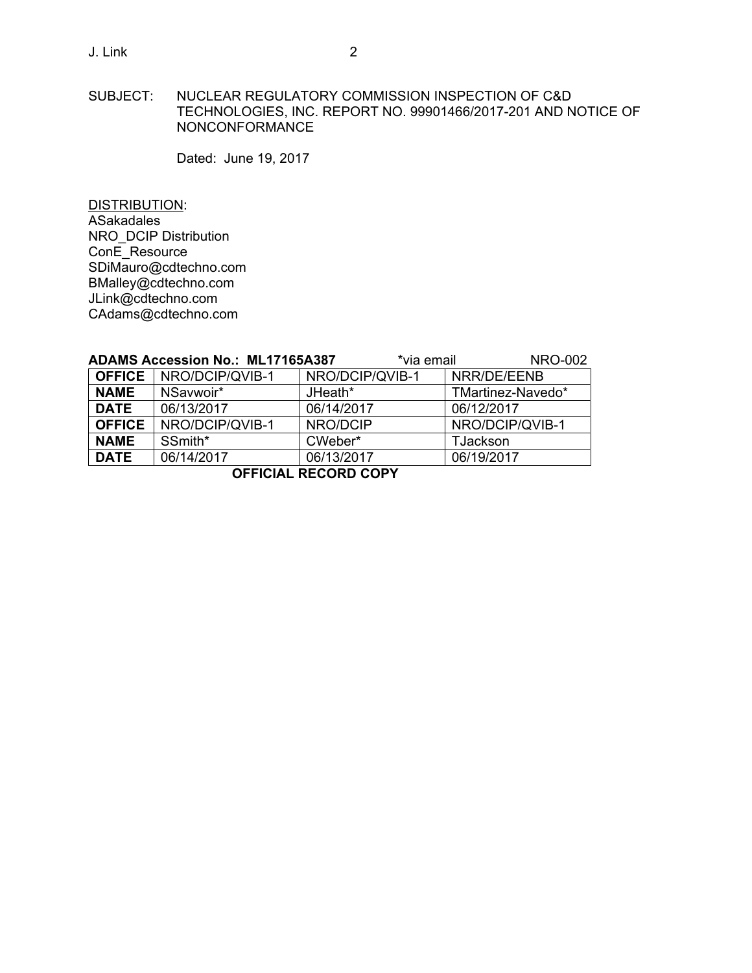SUBJECT: NUCLEAR REGULATORY COMMISSION INSPECTION OF C&D TECHNOLOGIES, INC. REPORT NO. 99901466/2017-201 AND NOTICE OF NONCONFORMANCE

Dated: June 19, 2017

DISTRIBUTION: ASakadales NRO\_DCIP Distribution ConE\_Resource SDiMauro@cdtechno.com BMalley@cdtechno.com JLink@cdtechno.com CAdams@cdtechno.com

|                             | <b>ADAMS Accession No.: ML17165A387</b> |                 | *via email  | <b>NRO-002</b>    |  |
|-----------------------------|-----------------------------------------|-----------------|-------------|-------------------|--|
| <b>OFFICE</b>               | NRO/DCIP/QVIB-1                         | NRO/DCIP/QVIB-1 | NRR/DE/EENB |                   |  |
| <b>NAME</b>                 | NSavwoir*                               | JHeath*         |             | TMartinez-Navedo* |  |
| <b>DATE</b>                 | 06/13/2017                              | 06/14/2017      |             | 06/12/2017        |  |
| <b>OFFICE</b>               | NRO/DCIP/QVIB-1                         | NRO/DCIP        |             | NRO/DCIP/QVIB-1   |  |
| <b>NAME</b>                 | SSmith*                                 | CWeber*         |             | TJackson          |  |
| <b>DATE</b>                 | 06/14/2017                              | 06/13/2017      |             | 06/19/2017        |  |
| <b>OFFICIAL RECORD COPY</b> |                                         |                 |             |                   |  |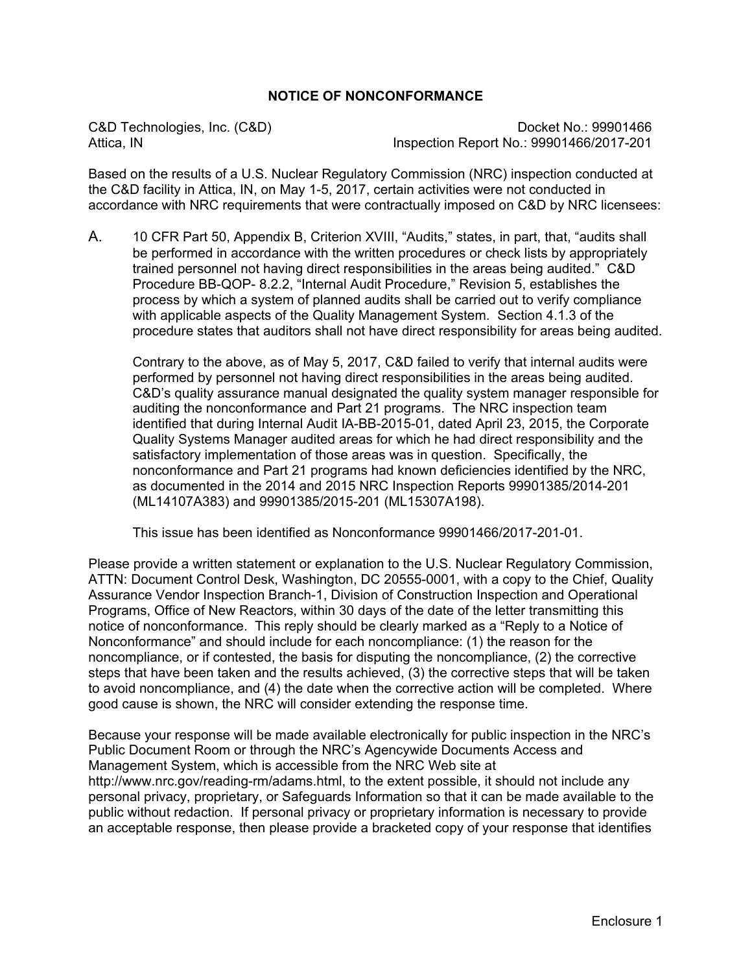# **NOTICE OF NONCONFORMANCE**

C&D Technologies, Inc. (C&D)<br>Attica. IN dispection Report No.: 99901466/2017-201 Inspection Report No.: 99901466/2017-201

Based on the results of a U.S. Nuclear Regulatory Commission (NRC) inspection conducted at the C&D facility in Attica, IN, on May 1-5, 2017, certain activities were not conducted in accordance with NRC requirements that were contractually imposed on C&D by NRC licensees:

A. 10 CFR Part 50, Appendix B, Criterion XVIII, "Audits," states, in part, that, "audits shall be performed in accordance with the written procedures or check lists by appropriately trained personnel not having direct responsibilities in the areas being audited." C&D Procedure BB-QOP- 8.2.2, "Internal Audit Procedure," Revision 5, establishes the process by which a system of planned audits shall be carried out to verify compliance with applicable aspects of the Quality Management System. Section 4.1.3 of the procedure states that auditors shall not have direct responsibility for areas being audited.

Contrary to the above, as of May 5, 2017, C&D failed to verify that internal audits were performed by personnel not having direct responsibilities in the areas being audited. C&D's quality assurance manual designated the quality system manager responsible for auditing the nonconformance and Part 21 programs. The NRC inspection team identified that during Internal Audit IA-BB-2015-01, dated April 23, 2015, the Corporate Quality Systems Manager audited areas for which he had direct responsibility and the satisfactory implementation of those areas was in question. Specifically, the nonconformance and Part 21 programs had known deficiencies identified by the NRC, as documented in the 2014 and 2015 NRC Inspection Reports 99901385/2014-201 (ML14107A383) and 99901385/2015-201 (ML15307A198).

This issue has been identified as Nonconformance 99901466/2017-201-01.

Please provide a written statement or explanation to the U.S. Nuclear Regulatory Commission, ATTN: Document Control Desk, Washington, DC 20555-0001, with a copy to the Chief, Quality Assurance Vendor Inspection Branch-1, Division of Construction Inspection and Operational Programs, Office of New Reactors, within 30 days of the date of the letter transmitting this notice of nonconformance. This reply should be clearly marked as a "Reply to a Notice of Nonconformance" and should include for each noncompliance: (1) the reason for the noncompliance, or if contested, the basis for disputing the noncompliance, (2) the corrective steps that have been taken and the results achieved, (3) the corrective steps that will be taken to avoid noncompliance, and (4) the date when the corrective action will be completed. Where good cause is shown, the NRC will consider extending the response time.

Because your response will be made available electronically for public inspection in the NRC's Public Document Room or through the NRC's Agencywide Documents Access and Management System, which is accessible from the NRC Web site at http://www.nrc.gov/reading-rm/adams.html, to the extent possible, it should not include any personal privacy, proprietary, or Safeguards Information so that it can be made available to the public without redaction. If personal privacy or proprietary information is necessary to provide an acceptable response, then please provide a bracketed copy of your response that identifies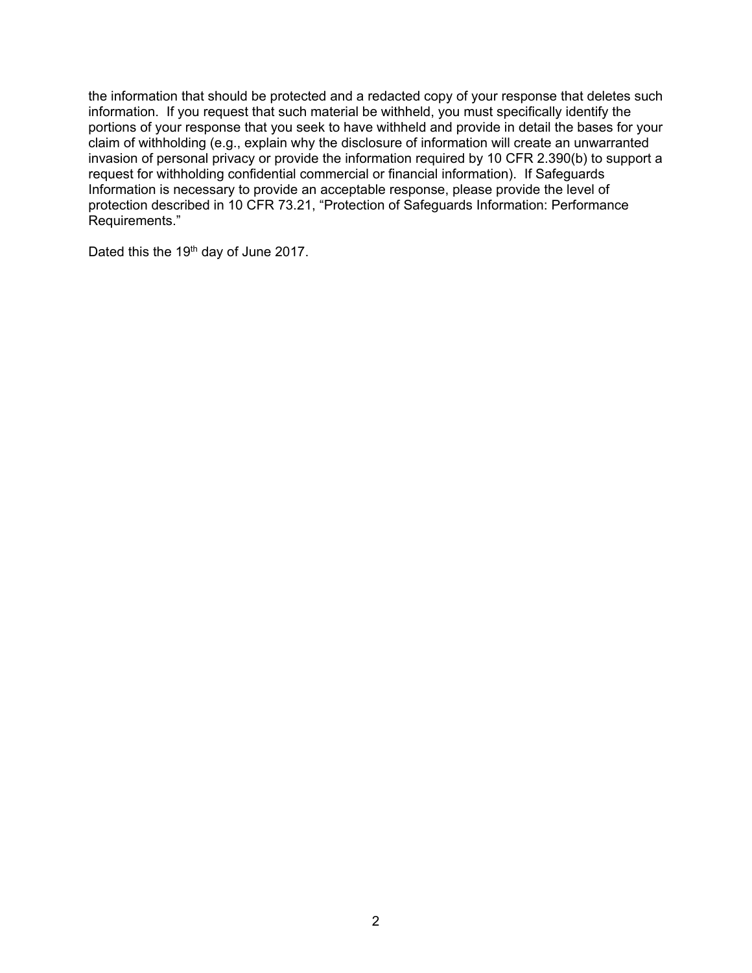the information that should be protected and a redacted copy of your response that deletes such information. If you request that such material be withheld, you must specifically identify the portions of your response that you seek to have withheld and provide in detail the bases for your claim of withholding (e.g., explain why the disclosure of information will create an unwarranted invasion of personal privacy or provide the information required by 10 CFR 2.390(b) to support a request for withholding confidential commercial or financial information). If Safeguards Information is necessary to provide an acceptable response, please provide the level of protection described in 10 CFR 73.21, "Protection of Safeguards Information: Performance Requirements."

Dated this the 19<sup>th</sup> day of June 2017.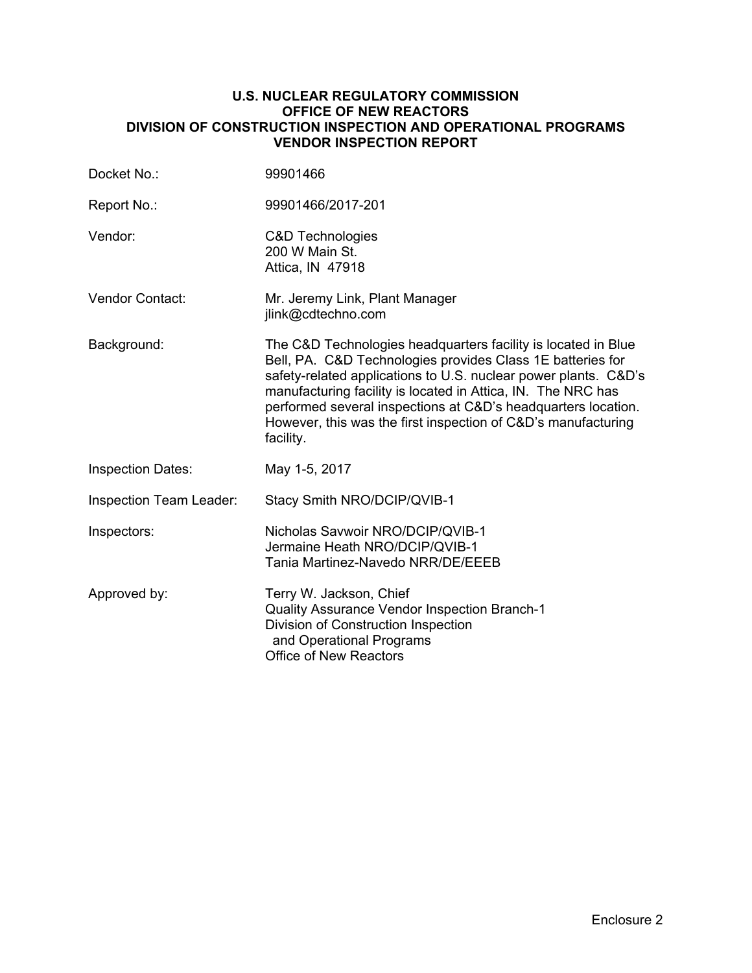## **U.S. NUCLEAR REGULATORY COMMISSION OFFICE OF NEW REACTORS DIVISION OF CONSTRUCTION INSPECTION AND OPERATIONAL PROGRAMS VENDOR INSPECTION REPORT**

| Docket No.:                    | 99901466                                                                                                                                                                                                                                                                                                                                                                                                      |
|--------------------------------|---------------------------------------------------------------------------------------------------------------------------------------------------------------------------------------------------------------------------------------------------------------------------------------------------------------------------------------------------------------------------------------------------------------|
| Report No.:                    | 99901466/2017-201                                                                                                                                                                                                                                                                                                                                                                                             |
| Vendor:                        | <b>C&amp;D Technologies</b><br>200 W Main St.<br>Attica, IN 47918                                                                                                                                                                                                                                                                                                                                             |
| <b>Vendor Contact:</b>         | Mr. Jeremy Link, Plant Manager<br>jlink@cdtechno.com                                                                                                                                                                                                                                                                                                                                                          |
| Background:                    | The C&D Technologies headquarters facility is located in Blue<br>Bell, PA. C&D Technologies provides Class 1E batteries for<br>safety-related applications to U.S. nuclear power plants. C&D's<br>manufacturing facility is located in Attica, IN. The NRC has<br>performed several inspections at C&D's headquarters location.<br>However, this was the first inspection of C&D's manufacturing<br>facility. |
| <b>Inspection Dates:</b>       | May 1-5, 2017                                                                                                                                                                                                                                                                                                                                                                                                 |
| <b>Inspection Team Leader:</b> | Stacy Smith NRO/DCIP/QVIB-1                                                                                                                                                                                                                                                                                                                                                                                   |
| Inspectors:                    | Nicholas Savwoir NRO/DCIP/QVIB-1<br>Jermaine Heath NRO/DCIP/QVIB-1<br>Tania Martinez-Navedo NRR/DE/EEEB                                                                                                                                                                                                                                                                                                       |
| Approved by:                   | Terry W. Jackson, Chief<br>Quality Assurance Vendor Inspection Branch-1<br>Division of Construction Inspection<br>and Operational Programs<br><b>Office of New Reactors</b>                                                                                                                                                                                                                                   |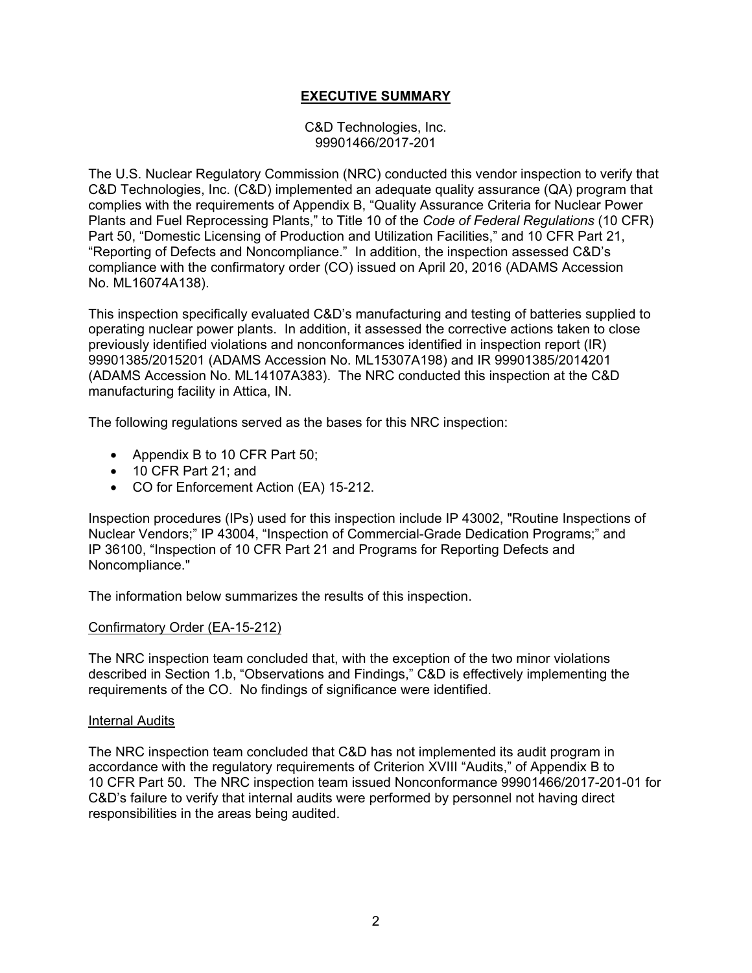# **EXECUTIVE SUMMARY**

C&D Technologies, Inc. 99901466/2017-201

The U.S. Nuclear Regulatory Commission (NRC) conducted this vendor inspection to verify that C&D Technologies, Inc. (C&D) implemented an adequate quality assurance (QA) program that complies with the requirements of Appendix B, "Quality Assurance Criteria for Nuclear Power Plants and Fuel Reprocessing Plants," to Title 10 of the *Code of Federal Regulations* (10 CFR) Part 50, "Domestic Licensing of Production and Utilization Facilities," and 10 CFR Part 21, "Reporting of Defects and Noncompliance." In addition, the inspection assessed C&D's compliance with the confirmatory order (CO) issued on April 20, 2016 (ADAMS Accession No. ML16074A138).

This inspection specifically evaluated C&D's manufacturing and testing of batteries supplied to operating nuclear power plants. In addition, it assessed the corrective actions taken to close previously identified violations and nonconformances identified in inspection report (IR) 99901385/2015201 (ADAMS Accession No. ML15307A198) and IR 99901385/2014201 (ADAMS Accession No. ML14107A383). The NRC conducted this inspection at the C&D manufacturing facility in Attica, IN.

The following regulations served as the bases for this NRC inspection:

- Appendix B to 10 CFR Part 50;
- 10 CFR Part 21; and
- CO for Enforcement Action (EA) 15-212.

Inspection procedures (IPs) used for this inspection include IP 43002, "Routine Inspections of Nuclear Vendors;" IP 43004, "Inspection of Commercial-Grade Dedication Programs;" and IP 36100, "Inspection of 10 CFR Part 21 and Programs for Reporting Defects and Noncompliance."

The information below summarizes the results of this inspection.

# Confirmatory Order (EA-15-212)

The NRC inspection team concluded that, with the exception of the two minor violations described in Section 1.b, "Observations and Findings," C&D is effectively implementing the requirements of the CO. No findings of significance were identified.

#### Internal Audits

The NRC inspection team concluded that C&D has not implemented its audit program in accordance with the regulatory requirements of Criterion XVIII "Audits," of Appendix B to 10 CFR Part 50. The NRC inspection team issued Nonconformance 99901466/2017-201-01 for C&D's failure to verify that internal audits were performed by personnel not having direct responsibilities in the areas being audited.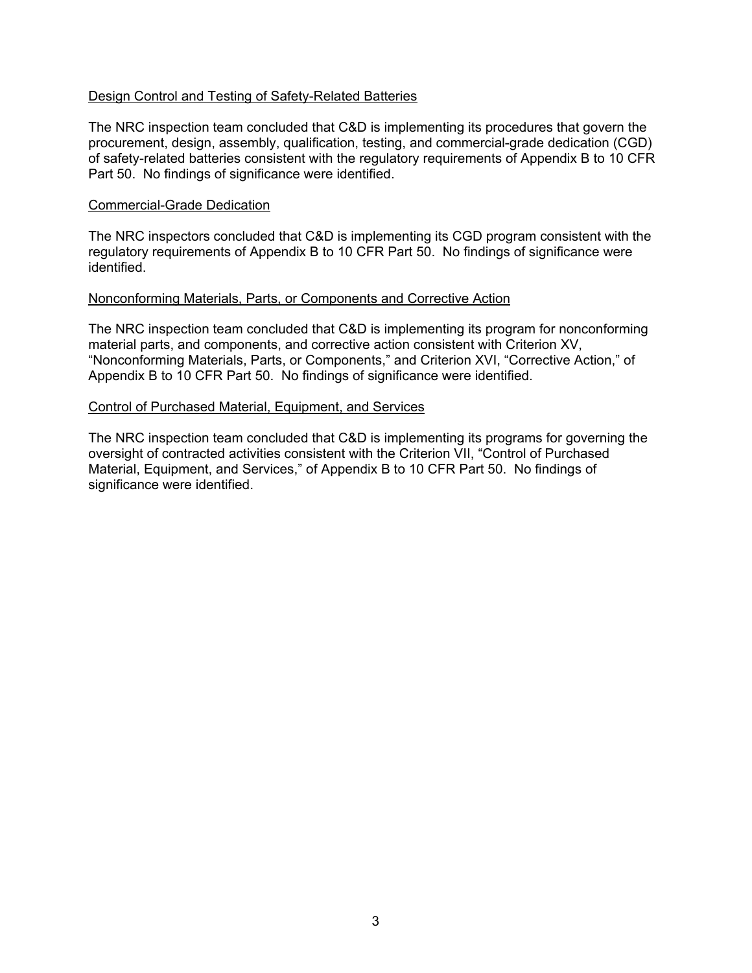## Design Control and Testing of Safety-Related Batteries

The NRC inspection team concluded that C&D is implementing its procedures that govern the procurement, design, assembly, qualification, testing, and commercial-grade dedication (CGD) of safety-related batteries consistent with the regulatory requirements of Appendix B to 10 CFR Part 50. No findings of significance were identified.

#### Commercial-Grade Dedication

The NRC inspectors concluded that C&D is implementing its CGD program consistent with the regulatory requirements of Appendix B to 10 CFR Part 50. No findings of significance were identified.

#### Nonconforming Materials, Parts, or Components and Corrective Action

The NRC inspection team concluded that C&D is implementing its program for nonconforming material parts, and components, and corrective action consistent with Criterion XV, "Nonconforming Materials, Parts, or Components," and Criterion XVI, "Corrective Action," of Appendix B to 10 CFR Part 50. No findings of significance were identified.

#### Control of Purchased Material, Equipment, and Services

The NRC inspection team concluded that C&D is implementing its programs for governing the oversight of contracted activities consistent with the Criterion VII, "Control of Purchased Material, Equipment, and Services," of Appendix B to 10 CFR Part 50. No findings of significance were identified.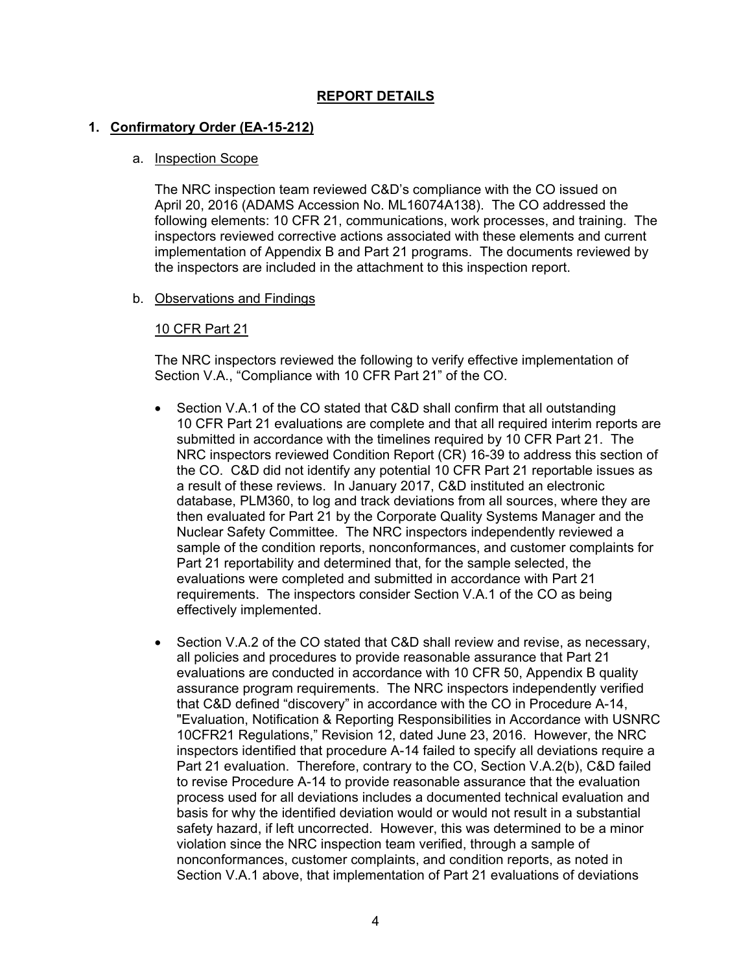# **REPORT DETAILS**

## **1. Confirmatory Order (EA-15-212)**

#### a. Inspection Scope

The NRC inspection team reviewed C&D's compliance with the CO issued on April 20, 2016 (ADAMS Accession No. ML16074A138). The CO addressed the following elements: 10 CFR 21, communications, work processes, and training. The inspectors reviewed corrective actions associated with these elements and current implementation of Appendix B and Part 21 programs. The documents reviewed by the inspectors are included in the attachment to this inspection report.

#### b. Observations and Findings

## 10 CFR Part 21

The NRC inspectors reviewed the following to verify effective implementation of Section V.A., "Compliance with 10 CFR Part 21" of the CO.

- Section V.A.1 of the CO stated that C&D shall confirm that all outstanding 10 CFR Part 21 evaluations are complete and that all required interim reports are submitted in accordance with the timelines required by 10 CFR Part 21. The NRC inspectors reviewed Condition Report (CR) 16-39 to address this section of the CO. C&D did not identify any potential 10 CFR Part 21 reportable issues as a result of these reviews. In January 2017, C&D instituted an electronic database, PLM360, to log and track deviations from all sources, where they are then evaluated for Part 21 by the Corporate Quality Systems Manager and the Nuclear Safety Committee. The NRC inspectors independently reviewed a sample of the condition reports, nonconformances, and customer complaints for Part 21 reportability and determined that, for the sample selected, the evaluations were completed and submitted in accordance with Part 21 requirements. The inspectors consider Section V.A.1 of the CO as being effectively implemented.
- Section V.A.2 of the CO stated that C&D shall review and revise, as necessary, all policies and procedures to provide reasonable assurance that Part 21 evaluations are conducted in accordance with 10 CFR 50, Appendix B quality assurance program requirements. The NRC inspectors independently verified that C&D defined "discovery" in accordance with the CO in Procedure A-14, "Evaluation, Notification & Reporting Responsibilities in Accordance with USNRC 10CFR21 Regulations," Revision 12, dated June 23, 2016. However, the NRC inspectors identified that procedure A-14 failed to specify all deviations require a Part 21 evaluation. Therefore, contrary to the CO, Section V.A.2(b), C&D failed to revise Procedure A-14 to provide reasonable assurance that the evaluation process used for all deviations includes a documented technical evaluation and basis for why the identified deviation would or would not result in a substantial safety hazard, if left uncorrected. However, this was determined to be a minor violation since the NRC inspection team verified, through a sample of nonconformances, customer complaints, and condition reports, as noted in Section V.A.1 above, that implementation of Part 21 evaluations of deviations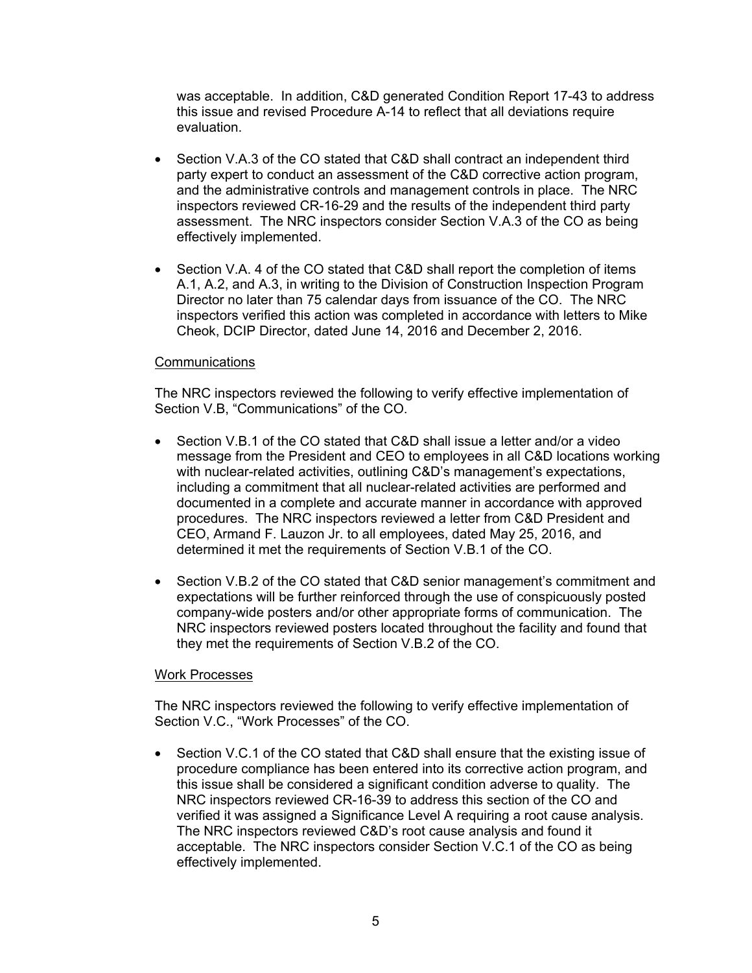was acceptable. In addition, C&D generated Condition Report 17-43 to address this issue and revised Procedure A-14 to reflect that all deviations require evaluation.

- Section V.A.3 of the CO stated that C&D shall contract an independent third party expert to conduct an assessment of the C&D corrective action program, and the administrative controls and management controls in place. The NRC inspectors reviewed CR-16-29 and the results of the independent third party assessment. The NRC inspectors consider Section V.A.3 of the CO as being effectively implemented.
- Section V.A. 4 of the CO stated that C&D shall report the completion of items A.1, A.2, and A.3, in writing to the Division of Construction Inspection Program Director no later than 75 calendar days from issuance of the CO. The NRC inspectors verified this action was completed in accordance with letters to Mike Cheok, DCIP Director, dated June 14, 2016 and December 2, 2016.

## **Communications**

The NRC inspectors reviewed the following to verify effective implementation of Section V.B, "Communications" of the CO.

- Section V.B.1 of the CO stated that C&D shall issue a letter and/or a video message from the President and CEO to employees in all C&D locations working with nuclear-related activities, outlining C&D's management's expectations, including a commitment that all nuclear-related activities are performed and documented in a complete and accurate manner in accordance with approved procedures. The NRC inspectors reviewed a letter from C&D President and CEO, Armand F. Lauzon Jr. to all employees, dated May 25, 2016, and determined it met the requirements of Section V.B.1 of the CO.
- Section V.B.2 of the CO stated that C&D senior management's commitment and expectations will be further reinforced through the use of conspicuously posted company-wide posters and/or other appropriate forms of communication. The NRC inspectors reviewed posters located throughout the facility and found that they met the requirements of Section V.B.2 of the CO.

#### Work Processes

The NRC inspectors reviewed the following to verify effective implementation of Section V.C., "Work Processes" of the CO.

• Section V.C.1 of the CO stated that C&D shall ensure that the existing issue of procedure compliance has been entered into its corrective action program, and this issue shall be considered a significant condition adverse to quality. The NRC inspectors reviewed CR-16-39 to address this section of the CO and verified it was assigned a Significance Level A requiring a root cause analysis. The NRC inspectors reviewed C&D's root cause analysis and found it acceptable. The NRC inspectors consider Section V.C.1 of the CO as being effectively implemented.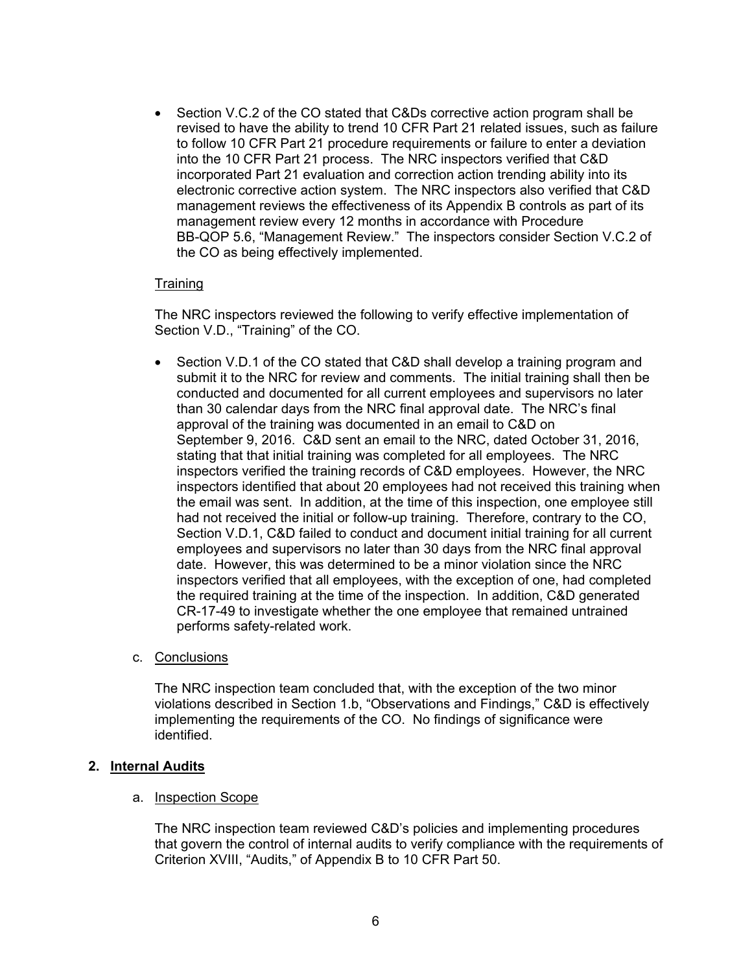• Section V.C.2 of the CO stated that C&Ds corrective action program shall be revised to have the ability to trend 10 CFR Part 21 related issues, such as failure to follow 10 CFR Part 21 procedure requirements or failure to enter a deviation into the 10 CFR Part 21 process. The NRC inspectors verified that C&D incorporated Part 21 evaluation and correction action trending ability into its electronic corrective action system. The NRC inspectors also verified that C&D management reviews the effectiveness of its Appendix B controls as part of its management review every 12 months in accordance with Procedure BB-QOP 5.6, "Management Review." The inspectors consider Section V.C.2 of the CO as being effectively implemented.

## **Training**

The NRC inspectors reviewed the following to verify effective implementation of Section V.D., "Training" of the CO.

• Section V.D.1 of the CO stated that C&D shall develop a training program and submit it to the NRC for review and comments. The initial training shall then be conducted and documented for all current employees and supervisors no later than 30 calendar days from the NRC final approval date. The NRC's final approval of the training was documented in an email to C&D on September 9, 2016. C&D sent an email to the NRC, dated October 31, 2016, stating that that initial training was completed for all employees. The NRC inspectors verified the training records of C&D employees. However, the NRC inspectors identified that about 20 employees had not received this training when the email was sent. In addition, at the time of this inspection, one employee still had not received the initial or follow-up training. Therefore, contrary to the CO, Section V.D.1, C&D failed to conduct and document initial training for all current employees and supervisors no later than 30 days from the NRC final approval date. However, this was determined to be a minor violation since the NRC inspectors verified that all employees, with the exception of one, had completed the required training at the time of the inspection. In addition, C&D generated CR-17-49 to investigate whether the one employee that remained untrained performs safety-related work.

# c. Conclusions

The NRC inspection team concluded that, with the exception of the two minor violations described in Section 1.b, "Observations and Findings," C&D is effectively implementing the requirements of the CO. No findings of significance were identified.

# **2. Internal Audits**

#### a. Inspection Scope

The NRC inspection team reviewed C&D's policies and implementing procedures that govern the control of internal audits to verify compliance with the requirements of Criterion XVIII, "Audits," of Appendix B to 10 CFR Part 50.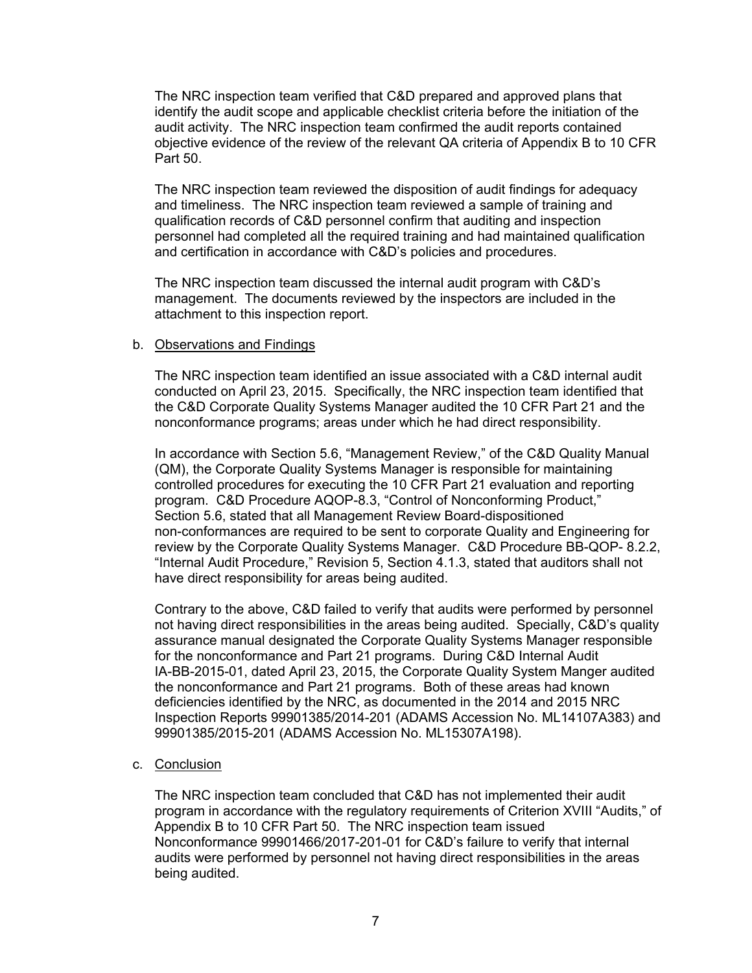The NRC inspection team verified that C&D prepared and approved plans that identify the audit scope and applicable checklist criteria before the initiation of the audit activity. The NRC inspection team confirmed the audit reports contained objective evidence of the review of the relevant QA criteria of Appendix B to 10 CFR Part 50.

The NRC inspection team reviewed the disposition of audit findings for adequacy and timeliness. The NRC inspection team reviewed a sample of training and qualification records of C&D personnel confirm that auditing and inspection personnel had completed all the required training and had maintained qualification and certification in accordance with C&D's policies and procedures.

The NRC inspection team discussed the internal audit program with C&D's management. The documents reviewed by the inspectors are included in the attachment to this inspection report.

## b. Observations and Findings

The NRC inspection team identified an issue associated with a C&D internal audit conducted on April 23, 2015. Specifically, the NRC inspection team identified that the C&D Corporate Quality Systems Manager audited the 10 CFR Part 21 and the nonconformance programs; areas under which he had direct responsibility.

In accordance with Section 5.6, "Management Review," of the C&D Quality Manual (QM), the Corporate Quality Systems Manager is responsible for maintaining controlled procedures for executing the 10 CFR Part 21 evaluation and reporting program. C&D Procedure AQOP-8.3, "Control of Nonconforming Product," Section 5.6, stated that all Management Review Board-dispositioned non-conformances are required to be sent to corporate Quality and Engineering for review by the Corporate Quality Systems Manager. C&D Procedure BB-QOP- 8.2.2, "Internal Audit Procedure," Revision 5, Section 4.1.3, stated that auditors shall not have direct responsibility for areas being audited.

Contrary to the above, C&D failed to verify that audits were performed by personnel not having direct responsibilities in the areas being audited. Specially, C&D's quality assurance manual designated the Corporate Quality Systems Manager responsible for the nonconformance and Part 21 programs. During C&D Internal Audit IA-BB-2015-01, dated April 23, 2015, the Corporate Quality System Manger audited the nonconformance and Part 21 programs. Both of these areas had known deficiencies identified by the NRC, as documented in the 2014 and 2015 NRC Inspection Reports 99901385/2014-201 (ADAMS Accession No. ML14107A383) and 99901385/2015-201 (ADAMS Accession No. ML15307A198).

# c. Conclusion

The NRC inspection team concluded that C&D has not implemented their audit program in accordance with the regulatory requirements of Criterion XVIII "Audits," of Appendix B to 10 CFR Part 50. The NRC inspection team issued Nonconformance 99901466/2017-201-01 for C&D's failure to verify that internal audits were performed by personnel not having direct responsibilities in the areas being audited.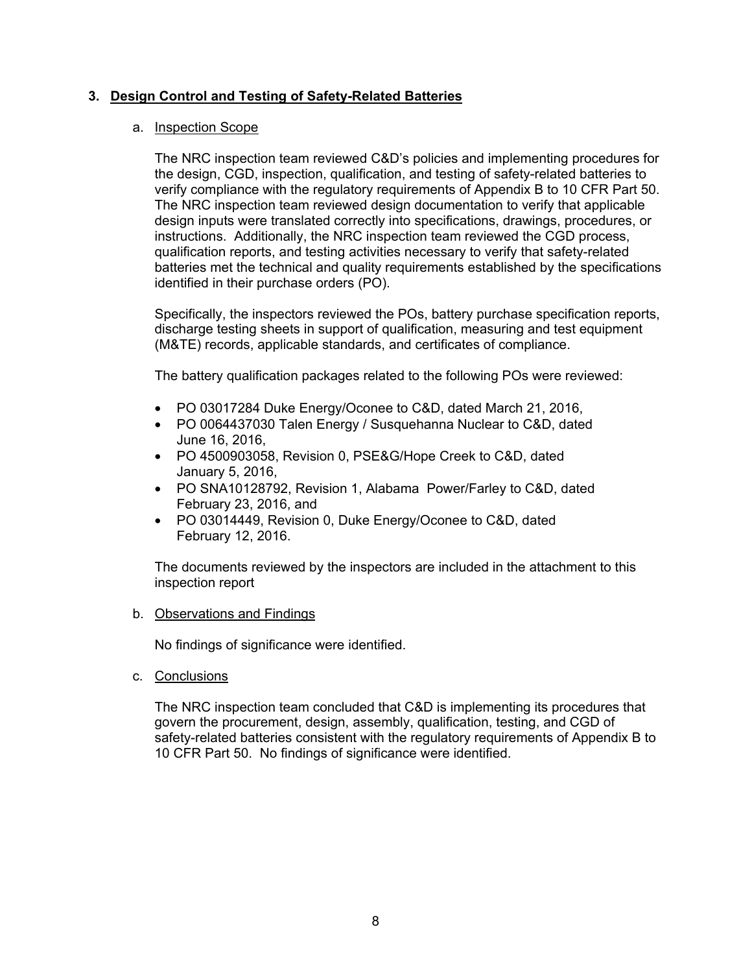# **3. Design Control and Testing of Safety-Related Batteries**

## a. Inspection Scope

The NRC inspection team reviewed C&D's policies and implementing procedures for the design, CGD, inspection, qualification, and testing of safety-related batteries to verify compliance with the regulatory requirements of Appendix B to 10 CFR Part 50. The NRC inspection team reviewed design documentation to verify that applicable design inputs were translated correctly into specifications, drawings, procedures, or instructions. Additionally, the NRC inspection team reviewed the CGD process, qualification reports, and testing activities necessary to verify that safety-related batteries met the technical and quality requirements established by the specifications identified in their purchase orders (PO).

Specifically, the inspectors reviewed the POs, battery purchase specification reports, discharge testing sheets in support of qualification, measuring and test equipment (M&TE) records, applicable standards, and certificates of compliance.

The battery qualification packages related to the following POs were reviewed:

- PO 03017284 Duke Energy/Oconee to C&D, dated March 21, 2016,
- PO 0064437030 Talen Energy / Susquehanna Nuclear to C&D, dated June 16, 2016,
- PO 4500903058, Revision 0, PSE&G/Hope Creek to C&D, dated January 5, 2016,
- PO SNA10128792, Revision 1, Alabama Power/Farley to C&D, dated February 23, 2016, and
- PO 03014449, Revision 0, Duke Energy/Oconee to C&D, dated February 12, 2016.

The documents reviewed by the inspectors are included in the attachment to this inspection report

#### b. Observations and Findings

No findings of significance were identified.

c. Conclusions

The NRC inspection team concluded that C&D is implementing its procedures that govern the procurement, design, assembly, qualification, testing, and CGD of safety-related batteries consistent with the regulatory requirements of Appendix B to 10 CFR Part 50. No findings of significance were identified.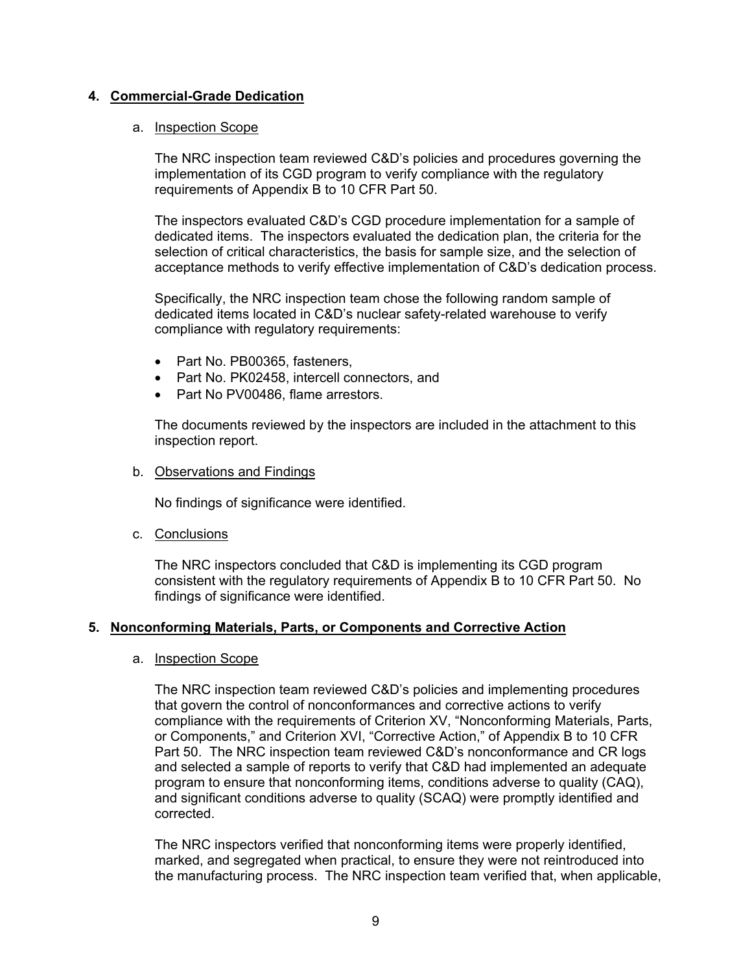# **4. Commercial-Grade Dedication**

## a. Inspection Scope

The NRC inspection team reviewed C&D's policies and procedures governing the implementation of its CGD program to verify compliance with the regulatory requirements of Appendix B to 10 CFR Part 50.

The inspectors evaluated C&D's CGD procedure implementation for a sample of dedicated items. The inspectors evaluated the dedication plan, the criteria for the selection of critical characteristics, the basis for sample size, and the selection of acceptance methods to verify effective implementation of C&D's dedication process.

Specifically, the NRC inspection team chose the following random sample of dedicated items located in C&D's nuclear safety-related warehouse to verify compliance with regulatory requirements:

- Part No. PB00365, fasteners,
- Part No. PK02458, intercell connectors, and
- Part No PV00486, flame arrestors.

The documents reviewed by the inspectors are included in the attachment to this inspection report.

## b. Observations and Findings

No findings of significance were identified.

c. Conclusions

The NRC inspectors concluded that C&D is implementing its CGD program consistent with the regulatory requirements of Appendix B to 10 CFR Part 50. No findings of significance were identified.

# **5. Nonconforming Materials, Parts, or Components and Corrective Action**

#### a. Inspection Scope

The NRC inspection team reviewed C&D's policies and implementing procedures that govern the control of nonconformances and corrective actions to verify compliance with the requirements of Criterion XV, "Nonconforming Materials, Parts, or Components," and Criterion XVI, "Corrective Action," of Appendix B to 10 CFR Part 50. The NRC inspection team reviewed C&D's nonconformance and CR logs and selected a sample of reports to verify that C&D had implemented an adequate program to ensure that nonconforming items, conditions adverse to quality (CAQ), and significant conditions adverse to quality (SCAQ) were promptly identified and corrected.

The NRC inspectors verified that nonconforming items were properly identified, marked, and segregated when practical, to ensure they were not reintroduced into the manufacturing process. The NRC inspection team verified that, when applicable,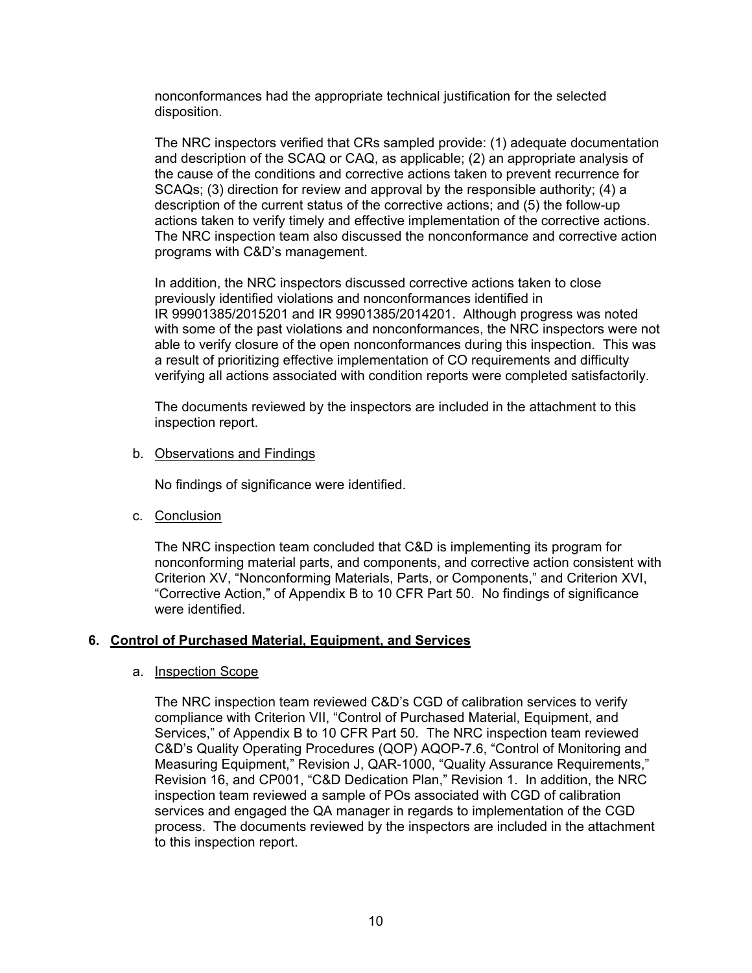nonconformances had the appropriate technical justification for the selected disposition.

The NRC inspectors verified that CRs sampled provide: (1) adequate documentation and description of the SCAQ or CAQ, as applicable; (2) an appropriate analysis of the cause of the conditions and corrective actions taken to prevent recurrence for SCAQs; (3) direction for review and approval by the responsible authority; (4) a description of the current status of the corrective actions; and (5) the follow-up actions taken to verify timely and effective implementation of the corrective actions. The NRC inspection team also discussed the nonconformance and corrective action programs with C&D's management.

In addition, the NRC inspectors discussed corrective actions taken to close previously identified violations and nonconformances identified in IR 99901385/2015201 and IR 99901385/2014201. Although progress was noted with some of the past violations and nonconformances, the NRC inspectors were not able to verify closure of the open nonconformances during this inspection. This was a result of prioritizing effective implementation of CO requirements and difficulty verifying all actions associated with condition reports were completed satisfactorily.

The documents reviewed by the inspectors are included in the attachment to this inspection report.

## b. Observations and Findings

No findings of significance were identified.

c. Conclusion

The NRC inspection team concluded that C&D is implementing its program for nonconforming material parts, and components, and corrective action consistent with Criterion XV, "Nonconforming Materials, Parts, or Components," and Criterion XVI, "Corrective Action," of Appendix B to 10 CFR Part 50. No findings of significance were identified.

#### **6. Control of Purchased Material, Equipment, and Services**

#### a. Inspection Scope

The NRC inspection team reviewed C&D's CGD of calibration services to verify compliance with Criterion VII, "Control of Purchased Material, Equipment, and Services," of Appendix B to 10 CFR Part 50. The NRC inspection team reviewed C&D's Quality Operating Procedures (QOP) AQOP-7.6, "Control of Monitoring and Measuring Equipment," Revision J, QAR-1000, "Quality Assurance Requirements," Revision 16, and CP001, "C&D Dedication Plan," Revision 1. In addition, the NRC inspection team reviewed a sample of POs associated with CGD of calibration services and engaged the QA manager in regards to implementation of the CGD process. The documents reviewed by the inspectors are included in the attachment to this inspection report.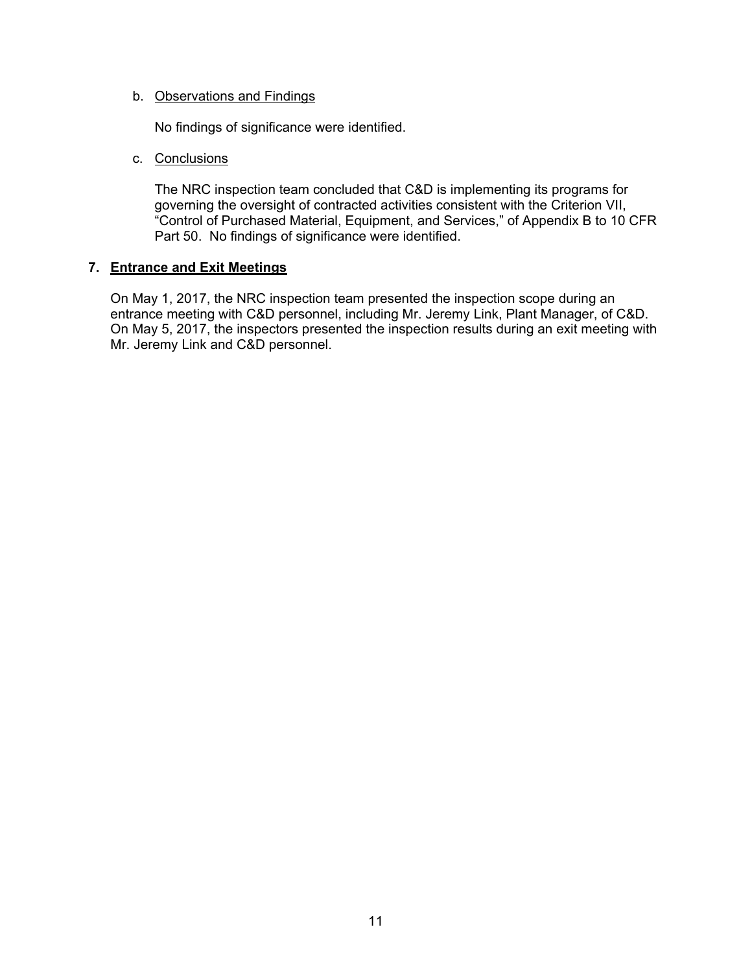## b. Observations and Findings

No findings of significance were identified.

## c. Conclusions

The NRC inspection team concluded that C&D is implementing its programs for governing the oversight of contracted activities consistent with the Criterion VII, "Control of Purchased Material, Equipment, and Services," of Appendix B to 10 CFR Part 50. No findings of significance were identified.

# **7. Entrance and Exit Meetings**

On May 1, 2017, the NRC inspection team presented the inspection scope during an entrance meeting with C&D personnel, including Mr. Jeremy Link, Plant Manager, of C&D. On May 5, 2017, the inspectors presented the inspection results during an exit meeting with Mr. Jeremy Link and C&D personnel.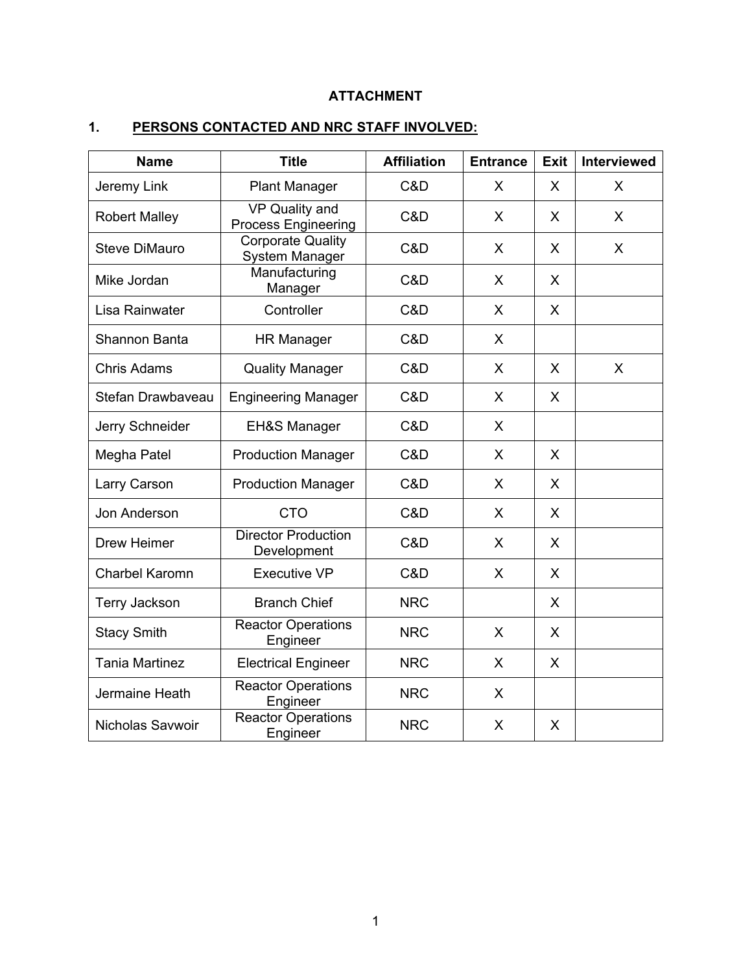# **ATTACHMENT**

# **1. PERSONS CONTACTED AND NRC STAFF INVOLVED:**

| <b>Name</b>           | <b>Title</b>                               | <b>Affiliation</b> | <b>Entrance</b> | <b>Exit</b> | <b>Interviewed</b> |
|-----------------------|--------------------------------------------|--------------------|-----------------|-------------|--------------------|
| Jeremy Link           | <b>Plant Manager</b>                       | C&D                | X               | X           | X                  |
| <b>Robert Malley</b>  | VP Quality and<br>Process Engineering      | C&D                | X               | X           | X                  |
| <b>Steve DiMauro</b>  | <b>Corporate Quality</b><br>System Manager | C&D                | X               | X           | X                  |
| Mike Jordan           | Manufacturing<br>Manager                   | C&D                | X               | X           |                    |
| Lisa Rainwater        | Controller                                 | C&D                | X               | X           |                    |
| Shannon Banta         | <b>HR Manager</b>                          | C&D                | $\mathsf{X}$    |             |                    |
| <b>Chris Adams</b>    | <b>Quality Manager</b>                     | C&D                | $\mathsf{X}$    | X           | X                  |
| Stefan Drawbayeau     | <b>Engineering Manager</b>                 | C&D                | X               | $\sf X$     |                    |
| Jerry Schneider       | <b>EH&amp;S Manager</b>                    | C&D                | X               |             |                    |
| Megha Patel           | <b>Production Manager</b>                  | C&D                | X               | X           |                    |
| Larry Carson          | <b>Production Manager</b>                  | C&D                | $\mathsf{X}$    | X           |                    |
| Jon Anderson          | <b>CTO</b>                                 | C&D                | X               | X           |                    |
| Drew Heimer           | <b>Director Production</b><br>Development  | C&D                | X               | X           |                    |
| <b>Charbel Karomn</b> | Executive VP                               | C&D                | X               | X           |                    |
| <b>Terry Jackson</b>  | <b>Branch Chief</b>                        | <b>NRC</b>         |                 | X           |                    |
| <b>Stacy Smith</b>    | <b>Reactor Operations</b><br>Engineer      | <b>NRC</b>         | X               | X           |                    |
| <b>Tania Martinez</b> | <b>Electrical Engineer</b>                 | <b>NRC</b>         | X               | X           |                    |
| Jermaine Heath        | <b>Reactor Operations</b><br>Engineer      | <b>NRC</b>         | X               |             |                    |
| Nicholas Savwoir      | <b>Reactor Operations</b><br>Engineer      | <b>NRC</b>         | X               | X           |                    |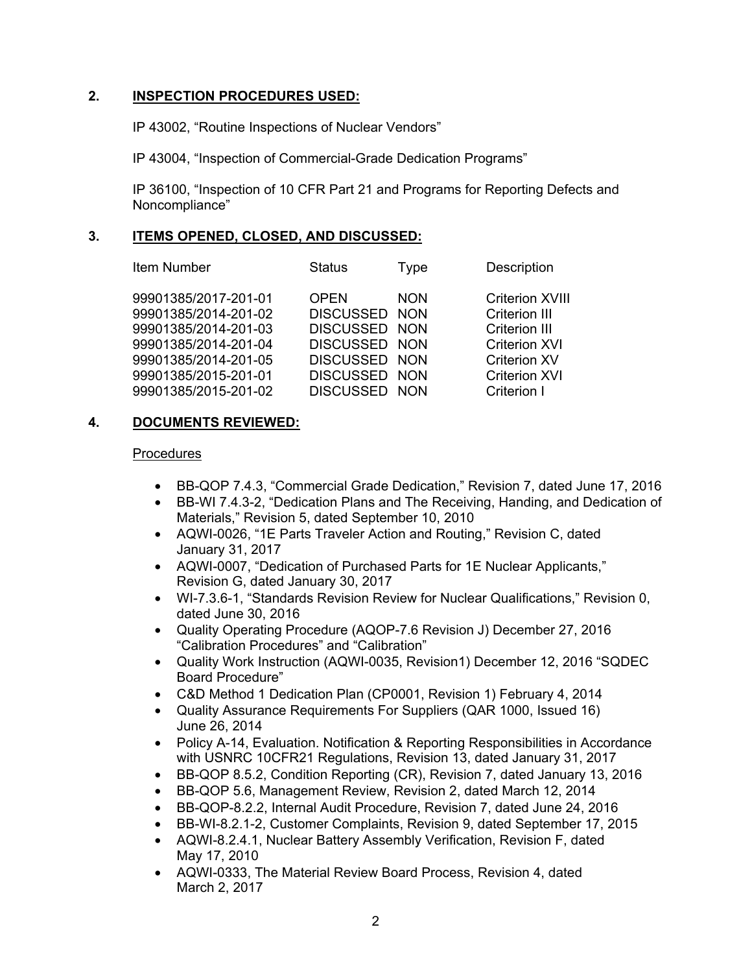# **2. INSPECTION PROCEDURES USED:**

IP 43002, "Routine Inspections of Nuclear Vendors"

IP 43004, "Inspection of Commercial-Grade Dedication Programs"

IP 36100, "Inspection of 10 CFR Part 21 and Programs for Reporting Defects and Noncompliance"

# **3. ITEMS OPENED, CLOSED, AND DISCUSSED:**

| Item Number |  |  |
|-------------|--|--|
|-------------|--|--|

99901385/2017-201-01 OPEN NON Criterion XVIII 99901385/2014-201-02 DISCUSSED NON Criterion III 99901385/2014-201-03 DISCUSSED NON Criterion III 99901385/2014-201-04 DISCUSSED NON Criterion XVI 99901385/2014-201-05 DISCUSSED NON Criterion XV 99901385/2015-201-01 DISCUSSED NON Criterion XVI 99901385/2015-201-02 DISCUSSED NON Criterion I

# **4. DOCUMENTS REVIEWED:**

#### Procedures

• BB-QOP 7.4.3, "Commercial Grade Dedication," Revision 7, dated June 17, 2016

Status Type Description

- BB-WI 7.4.3-2, "Dedication Plans and The Receiving, Handing, and Dedication of Materials," Revision 5, dated September 10, 2010
- AQWI-0026, "1E Parts Traveler Action and Routing," Revision C, dated January 31, 2017
- AQWI-0007, "Dedication of Purchased Parts for 1E Nuclear Applicants," Revision G, dated January 30, 2017
- WI-7.3.6-1, "Standards Revision Review for Nuclear Qualifications," Revision 0, dated June 30, 2016
- Quality Operating Procedure (AQOP-7.6 Revision J) December 27, 2016 "Calibration Procedures" and "Calibration"
- Quality Work Instruction (AQWI-0035, Revision1) December 12, 2016 "SQDEC Board Procedure"
- C&D Method 1 Dedication Plan (CP0001, Revision 1) February 4, 2014
- Quality Assurance Requirements For Suppliers (QAR 1000, Issued 16) June 26, 2014
- Policy A-14, Evaluation. Notification & Reporting Responsibilities in Accordance with USNRC 10CFR21 Regulations, Revision 13, dated January 31, 2017
- BB-QOP 8.5.2, Condition Reporting (CR), Revision 7, dated January 13, 2016
- BB-QOP 5.6, Management Review, Revision 2, dated March 12, 2014
- BB-QOP-8.2.2, Internal Audit Procedure, Revision 7, dated June 24, 2016
- BB-WI-8.2.1-2, Customer Complaints, Revision 9, dated September 17, 2015
- AQWI-8.2.4.1, Nuclear Battery Assembly Verification, Revision F, dated May 17, 2010
- AQWI-0333, The Material Review Board Process, Revision 4, dated March 2, 2017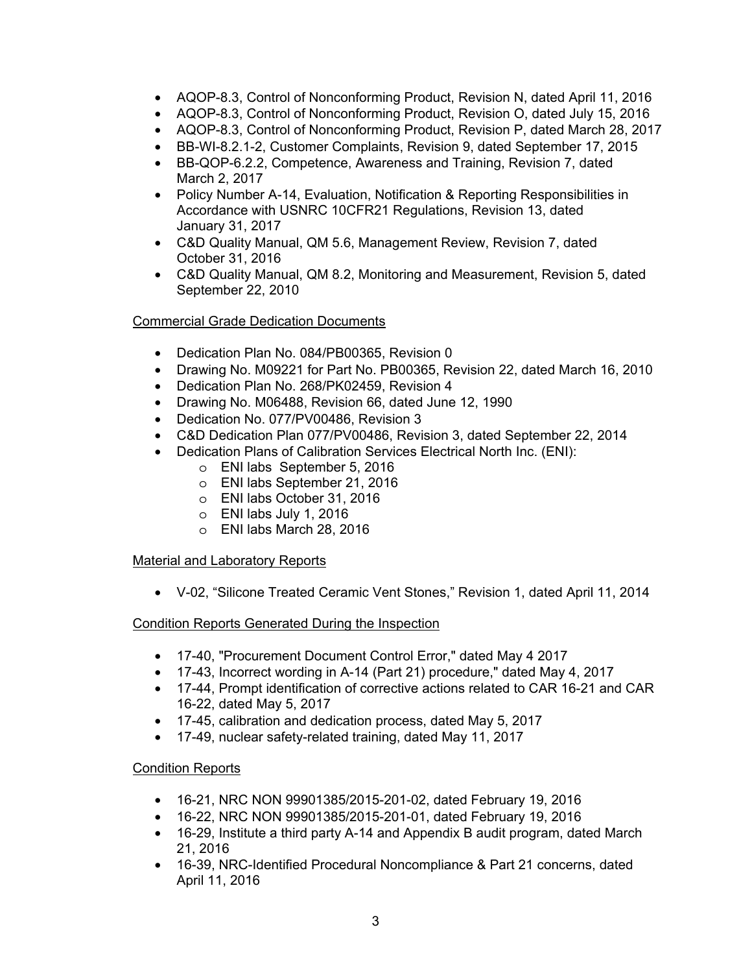- AQOP-8.3, Control of Nonconforming Product, Revision N, dated April 11, 2016
- AQOP-8.3, Control of Nonconforming Product, Revision O, dated July 15, 2016
- AQOP-8.3, Control of Nonconforming Product, Revision P, dated March 28, 2017
- BB-WI-8.2.1-2, Customer Complaints, Revision 9, dated September 17, 2015
- BB-QOP-6.2.2, Competence, Awareness and Training, Revision 7, dated March 2, 2017
- Policy Number A-14, Evaluation, Notification & Reporting Responsibilities in Accordance with USNRC 10CFR21 Regulations, Revision 13, dated January 31, 2017
- C&D Quality Manual, QM 5.6, Management Review, Revision 7, dated October 31, 2016
- C&D Quality Manual, QM 8.2, Monitoring and Measurement, Revision 5, dated September 22, 2010

# Commercial Grade Dedication Documents

- Dedication Plan No. 084/PB00365, Revision 0
- Drawing No. M09221 for Part No. PB00365, Revision 22, dated March 16, 2010
- Dedication Plan No. 268/PK02459, Revision 4
- Drawing No. M06488, Revision 66, dated June 12, 1990
- Dedication No. 077/PV00486, Revision 3
- C&D Dedication Plan 077/PV00486, Revision 3, dated September 22, 2014
- Dedication Plans of Calibration Services Electrical North Inc. (ENI):
	- o ENI labs September 5, 2016
	- o ENI labs September 21, 2016
	- o ENI labs October 31, 2016
	- o ENI labs July 1, 2016
	- o ENI labs March 28, 2016

# **Material and Laboratory Reports**

• V-02, "Silicone Treated Ceramic Vent Stones," Revision 1, dated April 11, 2014

# Condition Reports Generated During the Inspection

- 17-40, "Procurement Document Control Error," dated May 4 2017
- 17-43, Incorrect wording in A-14 (Part 21) procedure," dated May 4, 2017
- 17-44, Prompt identification of corrective actions related to CAR 16-21 and CAR 16-22, dated May 5, 2017
- 17-45, calibration and dedication process, dated May 5, 2017
- 17-49, nuclear safety-related training, dated May 11, 2017

# Condition Reports

- 16-21, NRC NON 99901385/2015-201-02, dated February 19, 2016
- 16-22, NRC NON 99901385/2015-201-01, dated February 19, 2016
- 16-29, Institute a third party A-14 and Appendix B audit program, dated March 21, 2016
- 16-39, NRC-Identified Procedural Noncompliance & Part 21 concerns, dated April 11, 2016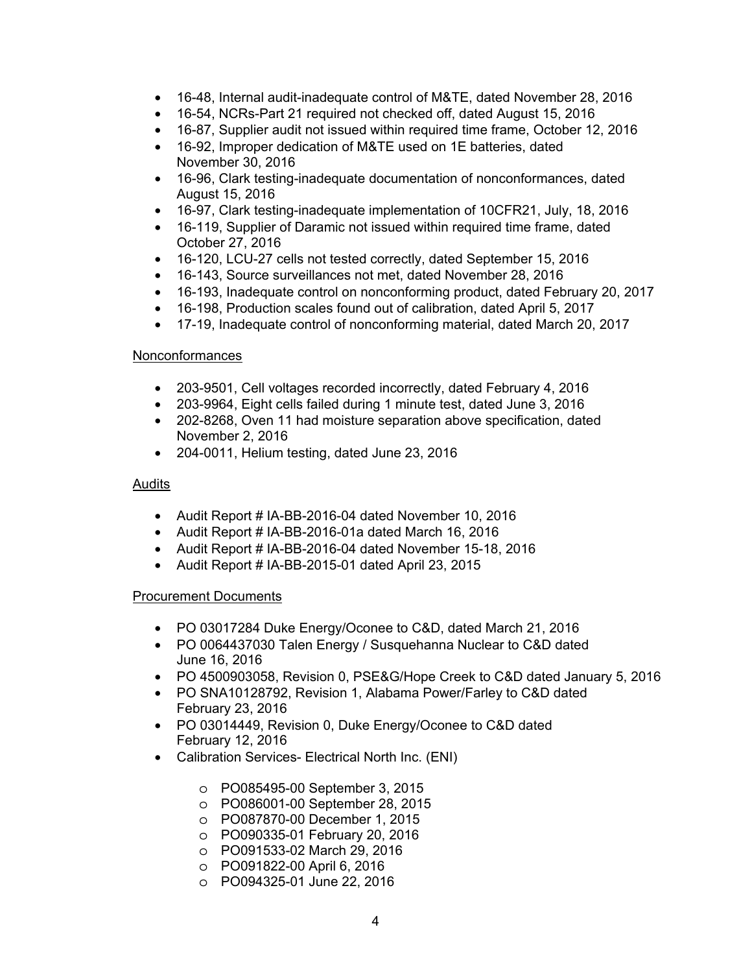- 16-48, Internal audit-inadequate control of M&TE, dated November 28, 2016
- 16-54, NCRs-Part 21 required not checked off, dated August 15, 2016
- 16-87, Supplier audit not issued within required time frame, October 12, 2016
- 16-92, Improper dedication of M&TE used on 1E batteries, dated November 30, 2016
- 16-96, Clark testing-inadequate documentation of nonconformances, dated August 15, 2016
- 16-97, Clark testing-inadequate implementation of 10CFR21, July, 18, 2016
- 16-119, Supplier of Daramic not issued within required time frame, dated October 27, 2016
- 16-120, LCU-27 cells not tested correctly, dated September 15, 2016
- 16-143, Source surveillances not met, dated November 28, 2016
- 16-193, Inadequate control on nonconforming product, dated February 20, 2017
- 16-198, Production scales found out of calibration, dated April 5, 2017
- 17-19, Inadequate control of nonconforming material, dated March 20, 2017

# Nonconformances

- 203-9501, Cell voltages recorded incorrectly, dated February 4, 2016
- 203-9964, Eight cells failed during 1 minute test, dated June 3, 2016
- 202-8268, Oven 11 had moisture separation above specification, dated November 2, 2016
- 204-0011, Helium testing, dated June 23, 2016

# Audits

- Audit Report # IA-BB-2016-04 dated November 10, 2016
- Audit Report # IA-BB-2016-01a dated March 16, 2016
- Audit Report # IA-BB-2016-04 dated November 15-18, 2016
- Audit Report # IA-BB-2015-01 dated April 23, 2015

# Procurement Documents

- PO 03017284 Duke Energy/Oconee to C&D, dated March 21, 2016
- PO 0064437030 Talen Energy / Susquehanna Nuclear to C&D dated June 16, 2016
- PO 4500903058, Revision 0, PSE&G/Hope Creek to C&D dated January 5, 2016
- PO SNA10128792, Revision 1, Alabama Power/Farley to C&D dated February 23, 2016
- PO 03014449, Revision 0, Duke Energy/Oconee to C&D dated February 12, 2016
- Calibration Services- Electrical North Inc. (ENI)
	- o PO085495-00 September 3, 2015
	- o PO086001-00 September 28, 2015
	- o PO087870-00 December 1, 2015
	- o PO090335-01 February 20, 2016
	- o PO091533-02 March 29, 2016
	- o PO091822-00 April 6, 2016
	- o PO094325-01 June 22, 2016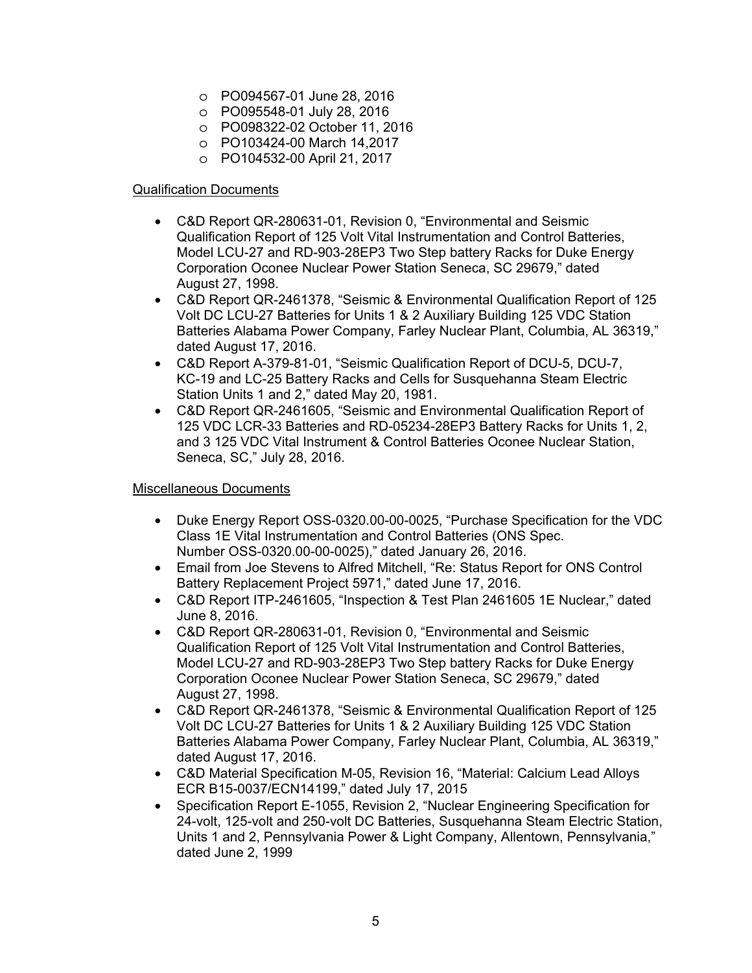- o PO094567-01 June 28, 2016
- o PO095548-01 July 28, 2016
- o PO098322-02 October 11, 2016
- o PO103424-00 March 14,2017
- o PO104532-00 April 21, 2017

# Qualification Documents

- C&D Report QR-280631-01, Revision 0, "Environmental and Seismic Qualification Report of 125 Volt Vital Instrumentation and Control Batteries, Model LCU-27 and RD-903-28EP3 Two Step battery Racks for Duke Energy Corporation Oconee Nuclear Power Station Seneca, SC 29679," dated August 27, 1998.
- C&D Report QR-2461378, "Seismic & Environmental Qualification Report of 125 Volt DC LCU-27 Batteries for Units 1 & 2 Auxiliary Building 125 VDC Station Batteries Alabama Power Company, Farley Nuclear Plant, Columbia, AL 36319," dated August 17, 2016.
- C&D Report A-379-81-01, "Seismic Qualification Report of DCU-5, DCU-7, KC-19 and LC-25 Battery Racks and Cells for Susquehanna Steam Electric Station Units 1 and 2," dated May 20, 1981.
- C&D Report QR-2461605, "Seismic and Environmental Qualification Report of 125 VDC LCR-33 Batteries and RD-05234-28EP3 Battery Racks for Units 1, 2, and 3 125 VDC Vital Instrument & Control Batteries Oconee Nuclear Station, Seneca, SC," July 28, 2016.

# Miscellaneous Documents

- Duke Energy Report OSS-0320.00-00-0025, "Purchase Specification for the VDC Class 1E Vital Instrumentation and Control Batteries (ONS Spec. Number OSS-0320.00-00-0025)," dated January 26, 2016.
- Email from Joe Stevens to Alfred Mitchell, "Re: Status Report for ONS Control Battery Replacement Project 5971," dated June 17, 2016.
- C&D Report ITP-2461605, "Inspection & Test Plan 2461605 1E Nuclear," dated June 8, 2016.
- C&D Report QR-280631-01, Revision 0, "Environmental and Seismic Qualification Report of 125 Volt Vital Instrumentation and Control Batteries, Model LCU-27 and RD-903-28EP3 Two Step battery Racks for Duke Energy Corporation Oconee Nuclear Power Station Seneca, SC 29679," dated August 27, 1998.
- C&D Report QR-2461378, "Seismic & Environmental Qualification Report of 125 Volt DC LCU-27 Batteries for Units 1 & 2 Auxiliary Building 125 VDC Station Batteries Alabama Power Company, Farley Nuclear Plant, Columbia, AL 36319," dated August 17, 2016.
- C&D Material Specification M-05, Revision 16, "Material: Calcium Lead Alloys ECR B15-0037/ECN14199," dated July 17, 2015
- Specification Report E-1055, Revision 2, "Nuclear Engineering Specification for 24-volt, 125-volt and 250-volt DC Batteries, Susquehanna Steam Electric Station, Units 1 and 2, Pennsylvania Power & Light Company, Allentown, Pennsylvania," dated June 2, 1999